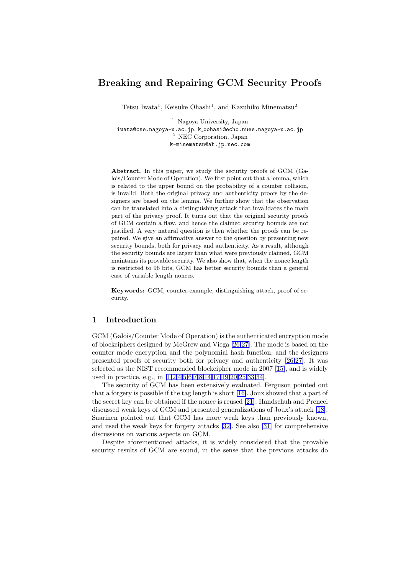# **Breaking and Repairing GCM Security Proofs**

Tetsu Iwata<sup>1</sup>, Keisuke Ohashi<sup>1</sup>, and Kazuhiko Minematsu<sup>2</sup>

<sup>1</sup> Nagoya University, Japan iwata@cse.nagoya-u.ac.jp, k\_oohasi@echo.nuee.nagoya-u.ac.jp <sup>2</sup> NEC Corporation, Japan k-minematsu@ah.jp.nec.com

**Abstract.** In this paper, we study the security proofs of GCM (Galois/Counter Mode of Operation). We first point out that a lemma, which is related to the upper bound on the probability of a counter collision, is invalid. Both the original privacy and authenticity proofs by the designers are based on the lemma. We further show that the observation can be translated into a distinguishing attack that invalidates the main part of the privacy proof. It turns out that the original security proofs of GCM contain a flaw, and hence the claimed security bounds are not justified. A very natural question is then whether the proofs can be repaired. We give an affirmative answer to the question by presenting new security bounds, both for privacy and authenticity. As a result, although the security bounds are larger than what were previously claimed, GCM maintains its provable security. We also show that, when the nonce length is restricted to 96 bits, GCM has better security bounds than a general case of variable length nonces.

**Keywords:** GCM, counter-example, distinguishing attack, proof of security.

### **1 Introduction**

GCM (Galois/Counter Mode of Operation) is the authenticated encryption mode of blockciphers designed by McGrew and Viega [26,27]. The mode is based on the counter mode encryption and the polynomial hash function, and the designers presented proofs of security both for privacy and authenticity [26,27]. It was selected as the NIST recommended blockcipher mode in 2007 [15], and is widely used in practice, e.g., in [1,2,4,5,6,7,8,14,17,19,[20,25,3](#page-16-0)3,34].

The security of GCM has been extensively evaluated. Ferguson pointed out that a forgery is possible if the tag length is short [16]. Joux showe[d that](#page-16-0) a part of the secret key can be obtained if the nonce is reused [21]. Hand[sch](#page-16-0)uh and Preneel discussed weak keys of G[CM and pres](#page-15-0)[ented generaliz](#page-16-0)[ations](#page-17-0) of Joux's attack [18]. Saarinen pointed out that GCM has more weak keys than previously known, and used the weak keys for forgery attacks [32]. [See](#page-16-0) also [31] for comprehensive discussions on various aspects on GCM.

Despite aforementioned attacks, it is widely considered that the prov[able](#page-16-0) security results of GCM are sound, in the sense that the previous attacks do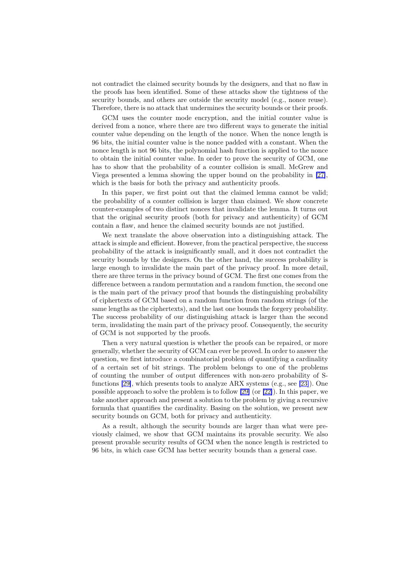not contradict the claimed security bounds by the designers, and that no flaw in the proofs has been identified. Some of these attacks show the tightness of the security bounds, and others are outside the security model (e.g., nonce reuse). Therefore, there is no attack that undermines the security bounds or their proofs.

GCM uses the counter mode encryption, and the initial counter value is derived from a nonce, where there are two different ways to generate the initial counter value depending on the length of the nonce. When the nonce length is 96 bits, the initial counter value is the nonce padded with a constant. When the nonce length is not 96 bits, the polynomial hash function is applied to the nonce to obtain the initial counter value. In order to prove the security of GCM, one has to show that the probability of a counter collision is small. McGrew and Viega presented a lemma showing the upper bound on the probability in [27], which is the basis for both the privacy and authenticity proofs.

In this paper, we first point out that the claimed lemma cannot be valid; the probability of a counter collision is larger than claimed. We show concrete counter-examples of two distinct nonces that invalidate the lemma. It turns [ou](#page-16-0)t that the original security proofs (both for privacy and authenticity) of GCM contain a flaw, and hence the claimed security bounds are not justified.

We next translate the above observation into a distinguishing attack. The attack is simple and efficient. However, from the practical perspective, the success probability of the attack is insignificantly small, and it does not contradict the security bounds by the designers. On the other hand, the success probability is large enough to invalidate the main part of the privacy proof. In more detail, there are three terms in the privacy bound of GCM. The first one comes from the difference between a random permutation and a random function, the second one is the main part of the privacy proof that bounds the distinguishing probability of ciphertexts of GCM based on a random function from random strings (of the same lengths as the ciphertexts), and the last one bounds the forgery probability. The success probability of our distinguishing attack is larger than the second term, invalidating the main part of the privacy proof. Consequently, the security of GCM is not supported by the proofs.

Then a very natural question is whether the proofs can be repaired, or more generally, whether the security of GCM can ever be proved. In order to answer the question, we first introduce a combinatorial problem of quantifying a cardinality of a certain set of bit strings. The problem belongs to one of the problems of counting the number of output differences with non-zero probability of Sfunctions [29], which presents tools to analyze ARX systems (e.g., see [23]). One possible approach to solve the problem is to follow [29] (or [22]). In this paper, we take another approach and present a solution to the problem by giving a recursive formula that quantifies the cardinality. Basing on the solution, we present new security b[oun](#page-17-0)ds on GCM, both for privacy and authenticity.

As a result, although the security bounds ar[e la](#page-17-0)rger [th](#page-16-0)an what were previously claimed, we show that GCM maintains its provable security. We also present provable security results of GCM when the nonce length is restricted to 96 bits, in which case GCM has better security bounds than a general case.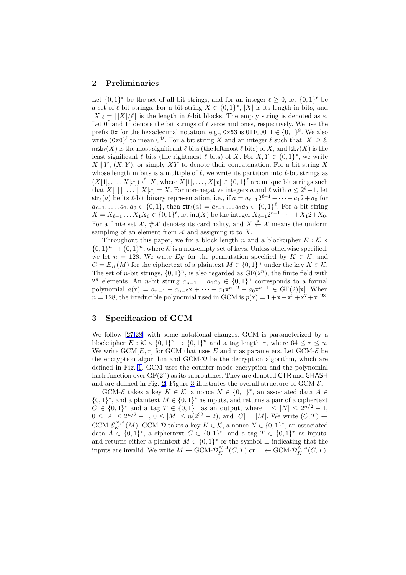## **2 Preliminaries**

Let  $\{0,1\}^*$  be the set of all bit strings, and for an integer  $\ell \geq 0$ , let  $\{0,1\}^{\ell}$  be a set of  $\ell$ -bit strings. For a bit string  $X \in \{0,1\}^*, |X|$  is its length in bits, and  $|X|_{\ell} = |X|/\ell$  is the length in  $\ell$ -bit blocks. The empty string is denoted as  $\varepsilon$ . Let  $0^{\ell}$  and  $1^{\ell}$  denote the bit strings of  $\ell$  zeros and ones, respectively. We use the prefix 0x for the hexadecimal notation, e.g., 0x63 is  $01100011 \in \{0, 1\}^8$ . We also write  $(0x0)^{\ell}$  to mean  $0^{4\ell}$ . For a bit string *X* and an integer  $\ell$  such that  $|X| \geq \ell$ ,  $\text{msb}_{\ell}(X)$  is the most significant  $\ell$  bits (the leftmost  $\ell$  bits) of X, and  $\text{lsb}_{\ell}(X)$  is the least significant  $\ell$  bits (the rightmost  $\ell$  bits) of *X*. For  $X, Y \in \{0, 1\}^*$ , we write  $X \parallel Y$ ,  $(X, Y)$ , or simply *XY* to denote their concatenation. For a bit string *X* whose length in bits is a multiple of *ℓ*, we write its partition into *ℓ*-bit strings as  $(X[1], \ldots, X[x]) \stackrel{\ell}{\leftarrow} X$ , where  $X[1], \ldots, X[x] \in \{0,1\}^{\ell}$  are unique bit strings such that  $X[1] \parallel ... \parallel X[x] = X$ . For non-negative integers *a* and  $\ell$  with  $a \leq 2^{\ell} - 1$ , let str<sub>ℓ</sub>(*a*) be its  $\ell$ -bit binary representation, i.e., if  $a = a_{\ell-1}2^{\ell-1} + \cdots + a_12 + a_0$  for  $a_{\ell-1}, \ldots, a_1, a_0 \in \{0, 1\}$ , then  $\text{str}_{\ell}(a) = a_{\ell-1} \ldots a_1 a_0 \in \{0, 1\}^{\ell}$ . For a bit string  $X = X_{\ell-1} \ldots X_1 X_0 \in \{0,1\}^{\ell}, \text{ let } \text{int}(X) \text{ be the integer } X_{\ell-1} 2^{\ell-1} + \cdots + X_1 2 + X_0.$ For a finite set  $\mathcal{X}, \#\mathcal{X}$  denotes its cardinality, and  $X \stackrel{\$}{\leftarrow} \mathcal{X}$  means the uniform sampling of an element from  $\mathcal X$  and assigning it to  $X$ .

Throughout this paper, we fix a block length *n* and a blockcipher  $E : K \times$  $\{0,1\}^n \to \{0,1\}^n$ , where *K* is a non-empty set of keys. Unless otherwise specified, we let  $n = 128$ . We write  $E_K$  for the permutation specified by  $K \in \mathcal{K}$ , and  $C = E_K(M)$  for the ciphertext of a plaintext  $M \in \{0,1\}^n$  under the key  $K \in \mathcal{K}$ . The set of *n*-bit strings,  $\{0,1\}^n$ , is also regarded as  $GF(2^n)$ , the finite field with 2<sup>n</sup> elements. An *n*-bit string  $a_{n-1} \ldots a_1 a_0$  ∈  $\{0, 1\}$ <sup>n</sup> corresponds to a formal polynomial  $a(x) = a_{n-1} + a_{n-2}x + \cdots + a_1x^{n-2} + a_0x^{n-1} \in \text{GF}(2)[x]$ . When  $n = 128$ , the irreducible polynomial used in GCM is  $p(x) = 1 + x + x^2 + x^7 + x^{128}$ .

### **3 Specification of GCM**

We follow [27,28] with some notational changes. GCM is parameterized by a blockcipher  $E : \mathcal{K} \times \{0,1\}^n \to \{0,1\}^n$  and a tag length  $\tau$ , where  $64 \leq \tau \leq n$ . We write  $GCM[E, \tau]$  for GCM that uses E and  $\tau$  as parameters. Let  $GCM-\mathcal{E}$  be the encryption algorithm and GCM-*D* be the decryption algorithm, which are defined in [Fig.](#page-16-0) [1.](#page-16-0) GCM uses the counter mode encryption and the polynomial hash function over  $GF(2^n)$  as its subroutines. They are denoted CTR and GHASH and are defined in Fig. 2. Figure 3 illustrates the overall structure of GCM-*E*.

GCM-*E* takes a key  $K \in \mathcal{K}$ , a nonce  $N \in \{0,1\}^*$ , an associated data  $A \in$  $\{0,1\}^*$ , and a p[la](#page-3-0)intext  $M \in \{0,1\}^*$  as inputs, and returns a pair of a ciphertext  $C \in \{0,1\}^*$  and a tag  $T \in \{0,1\}^{\tau}$  as an output, where  $1 \leq |N| \leq 2^{n/2} - 1$ , 0 [≤](#page-3-0) |*A*| ≤  $2^{n/2} - 1$ , 0 ≤ |*M*| ≤  $n(2^{32} - 2)$  $n(2^{32} - 2)$  $n(2^{32} - 2)$ , and |*C*| = |*M*|. We write  $(C, T)$  ← GCM- $\mathcal{E}_K^{N,A}(M)$ . GCM- $\mathcal{D}$  takes a key  $K \in \mathcal{K}$ , a nonce  $N \in \{0,1\}^*$ , an associated data  $A \in \{0,1\}^*$ , a ciphertext  $C \in \{0,1\}^*$ , and a tag  $T \in \{0,1\}^{\tau}$  as inputs, and returns either a plaintext  $M \in \{0,1\}^*$  or the symbol  $\perp$  indicating that the inputs are invalid. We write  $M \leftarrow \text{GCM-}\mathcal{D}_{K}^{N,A}(C,T)$  or  $\bot \leftarrow \text{GCM-}\mathcal{D}_{K}^{N,A}(C,T)$ .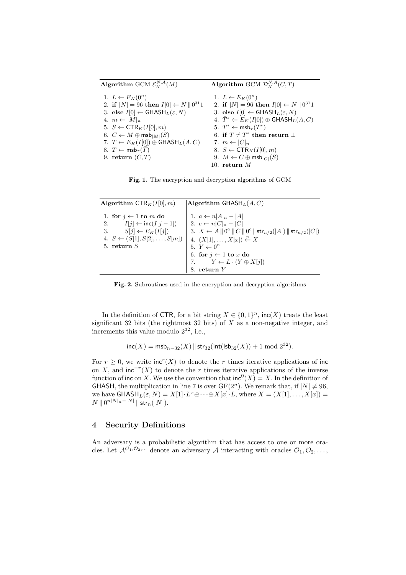<span id="page-3-0"></span>

| Algorithm GCM- $\mathcal{E}_{\kappa}^{N,A}(M)$                     | Algorithm GCM- $\mathcal{D}_{K}^{N,A}(C,T)$                     |
|--------------------------------------------------------------------|-----------------------------------------------------------------|
| 1. $L \leftarrow E_K(0^n)$                                         | 1. $L \leftarrow E_K(0^n)$                                      |
| 2. if $ N  = 96$ then $I[0] \leftarrow N \parallel 0^{31}1$        | 2. if $ N  = 96$ then $I[0] \leftarrow N \cdot 0^{31}1$         |
| 3. else $I[0] \leftarrow \text{GHASH}_L(\varepsilon, N)$           | 3. else $I[0] \leftarrow \text{GHASH}_L(\varepsilon, N)$        |
| 4. $m \leftarrow  M _n$                                            | 4. $\bar{T}^* \leftarrow E_K(I[0]) \oplus \text{GHASH}_L(A, C)$ |
| 5. $S \leftarrow \text{CTR}_K(I[0], m)$                            | 5. $T^* \leftarrow \text{msb}_\tau(\bar{T}^*)$                  |
| 6. $C \leftarrow M \oplus \mathsf{msb}_{ M }(S)$                   | 6. if $T \neq T^*$ then return $\perp$                          |
| 7. $\overline{T} \leftarrow E_K(I[0]) \oplus \text{GHASH}_L(A, C)$ | 7. $m \leftarrow  C _n$                                         |
| 8. $T \leftarrow msb_{\tau}(\overline{T})$                         | 8. $S \leftarrow \text{CTR}_K(I[0], m)$                         |
| 9. return $(C,T)$                                                  | 9. $M \leftarrow C \oplus \mathsf{msb}_{ C }(S)$                |
|                                                                    | 10. return $M$                                                  |

**Fig. 1.** The encryption and decryption algorithms of GCM

| Algorithm $CTRK(I[0], m)$                                                                                                                                                        | Algorithm $GHASH_L(A, C)$                                                                                                                                                                                                                                                                                                                                                             |
|----------------------------------------------------------------------------------------------------------------------------------------------------------------------------------|---------------------------------------------------------------------------------------------------------------------------------------------------------------------------------------------------------------------------------------------------------------------------------------------------------------------------------------------------------------------------------------|
| 1. for $i \leftarrow 1$ to m do<br>2. $I[j] \leftarrow \text{inc}(I[j-1])$<br>$S[j] \leftarrow E_K(I[j])$<br>3.<br>4. $S \leftarrow (S[1], S[2], \ldots, S[m])$<br>5. return $S$ | 1. $a \leftarrow n  A _n -  A $<br>2. $c \leftarrow n  C _n -  C $<br>3. $X \leftarrow A \parallel 0^a \parallel C \parallel 0^c \parallel \text{str}_{n/2}( A ) \parallel \text{str}_{n/2}( C )$<br>4. $(X[1], \ldots, X[x]) \stackrel{n}{\leftarrow} X$<br>5. $Y \leftarrow 0^n$<br>6. for $j \leftarrow 1$ to $x$ do<br>7. $Y \leftarrow L \cdot (Y \oplus X[j])$<br>8. return $Y$ |

**Fig. 2.** Subroutines used in the encryption and decryption algorithms

In the definition of CTR, for a bit string  $X \in \{0,1\}^n$ , inc(*X*) treats the least significant 32 bits (the rightmost 32 bits) of *X* as a non-negative integer, and increments this value modulo  $2^{32}$ , i.e.,

$$
\operatorname{\mathsf{inc}}(X)=\operatorname{\mathsf{msb}}_{n-32}(X)\,\|\operatorname{\mathsf{str}}_{32}(\operatorname{\mathsf{int}}(\operatorname{\mathsf{lsb}}_{32}(X))+1\bmod 2^{32}).
$$

For  $r \geq 0$ , we write  $\text{inc}^r(X)$  to denote the *r* times iterative applications of inc on *X*, and inc*−<sup>r</sup>* (*X*) to denote the *r* times iterative applications of the inverse function of inc on X. We use the convention that  $\text{inc}^0(X) = X$ . In the definition of GHASH, the multiplication in line 7 is over  $GF(2<sup>n</sup>)$ . We remark that, if  $|N| \neq 96$ , we have  $\mathsf{GHASH}_L(\varepsilon, N) = X[1] \cdot L^x \oplus \cdots \oplus X[x] \cdot L$ , where  $X = (X[1], \ldots, X[x]) =$  $N \parallel 0^{n|N|_n - |N|} \parallel$  str $_n(|N|)$ .

### **4 Security Definitions**

An adversary is a probabilistic algorithm that has access to one or more oracles. Let  $\mathcal{A}^{O_1,O_2,...}$  denote an adversary  $\mathcal A$  interacting with oracles  $O_1, O_2, ...,$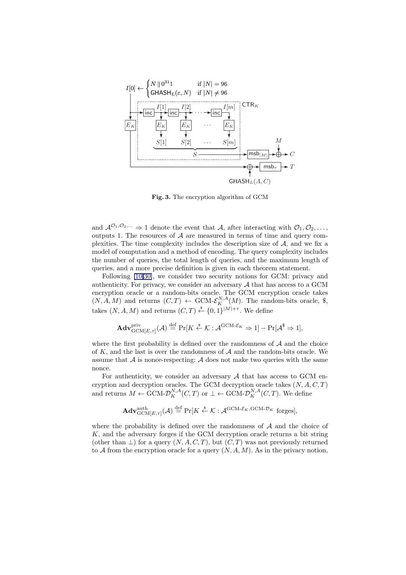<span id="page-4-0"></span>

**Fig. 3.** The encryption algorithm of GCM

and  $\mathcal{A}^{\mathcal{O}_1,\mathcal{O}_2,\ldots} \Rightarrow 1$  denote the event that *A*, after interacting with  $\mathcal{O}_1,\mathcal{O}_2,\ldots$ , outputs 1. The resources of  $A$  are measured in terms of time and query complexities. The time complexity includes the description size of *A*, and we fix a model of computation and a method of encoding. The query complexity includes the number of queries, the total length of queries, and the maximum length of queries, and a more precise definition is given in each theorem statement.

Following [10,30], we consider two security notions for GCM: privacy and authenticity. For privacy, we consider an adversary *A* that has access to a GCM encryption oracle or a random-bits oracle. The GCM encryption oracle takes  $(N, A, M)$  and returns  $(C, T) \leftarrow \text{GCM-} \mathcal{E}_K^{N,A}(M)$ . The random-bits oracle, \$, takes  $(N, A, M)$  a[nd](#page-17-0) returns  $(C, T) \stackrel{\$}{\leftarrow} \{0, 1\}^{|M| + \tau}$ . We define

$$
\mathbf{Adv}_{\mathrm{GCM}[E,\tau]}^{\mathrm{priv}}(\mathcal{A}) \stackrel{\mathrm{def}}{=} \mathrm{Pr}[K \stackrel{\hspace{0.1em}\mathsf{\scriptscriptstyle\$}}{\leftarrow} \mathcal{K} : \mathcal{A}^{\mathrm{GCM}\text{-}\mathcal{E}_{K}} \Rightarrow 1] - \mathrm{Pr}[\mathcal{A}^{\hspace{0.1em}\mathsf{\scriptscriptstyle\$}} \Rightarrow 1],
$$

where the first probability is defined over the randomness of  $A$  and the choice of *K*, and the last is over the randomness of *A* and the random-bits oracle. We assume that  $\mathcal A$  is nonce-respecting:  $\mathcal A$  does not make two queries with the same nonce.

For authenticity, we consider an adversary *A* that has access to GCM encryption and decryption oracles. The GCM decryption oracle takes (*N, A, C, T*) and returns  $M \leftarrow \text{GCM-}\mathcal{D}_{K}^{N,A}(C,T)$  or  $\perp \leftarrow \text{GCM-}\mathcal{D}_{K}^{N,A}(C,T)$ . We define

$$
\mathbf{Adv}_{\mathrm{GCM}[E,\tau]}^{\mathrm{auth}}(\mathcal{A}) \stackrel{\mathrm{def}}{=} \Pr[K \stackrel{\hspace{0.1em}\mathsf{\scriptscriptstyle\$}}{\leftarrow} \mathcal{K} : \mathcal{A}^{\mathrm{GCM}\text{-}\mathcal{E}_{K},\mathrm{GCM}\text{-}\mathcal{D}_{K}} \text{ forges}],
$$

where the probability is defined over the randomness of *A* and the choice of *K*, and the adversary forges if the GCM decryption oracle returns a bit string (other than  $\perp$ ) for a query  $(N, A, C, T)$ , but  $(C, T)$  was not previously returned to *A* from the encryption oracle for a query (*N, A, M*). As in the privacy notion,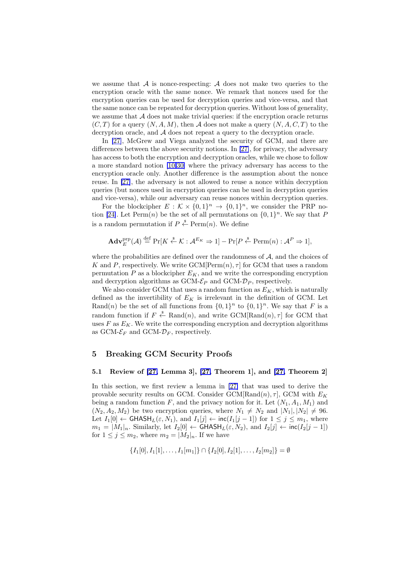<span id="page-5-0"></span>we assume that  $\mathcal A$  is nonce-respecting:  $\mathcal A$  does not make two queries to the encryption oracle with the same nonce. We remark that nonces used for the encryption queries can be used for decryption queries and vice-versa, and that the same nonce can be repeated for decryption queries. Without loss of generality, we assume that A does not make trivial queries: if the encryption oracle returns  $(C, T)$  for a query  $(N, A, M)$ , then *A* does not make a query  $(N, A, C, T)$  to the decryption oracle, and *A* does not repeat a query to the decryption oracle.

In [27], McGrew and Viega analyzed the security of GCM, and there are differences between the above security notions. In [27], for privacy, the adversary has access to both the encryption and decryption oracles, while we chose to follow a more standard notion [10,30] where the privacy adversary has access to the encryp[tion](#page-16-0) oracle only. Another difference is the assumption about the nonce reuse. In [27], the adversary is not allowed to re[use](#page-16-0) a nonce within decryption queries (but nonces used in encryption queries can be used in decryption queries and vice-versa), while ou[r ad](#page-16-0)[ver](#page-17-0)sary can reuse nonces within decryption queries.

For the blockcipher  $E : \mathcal{K} \times \{0,1\}^n \to \{0,1\}^n$ , we consider the PRP no-tion [24]. [Let](#page-16-0)  $\text{Perm}(n)$  be the set of all permutations on  $\{0,1\}^n$ . We say that *P* is a random permutation if  $P \overset{\$}{\leftarrow} \text{Perm}(n)$ . We define

$$
\mathbf{Adv}_{E}^{\text{prp}}(\mathcal{A}) \stackrel{\text{def}}{=} \Pr[K \stackrel{\$}{\leftarrow} \mathcal{K} : \mathcal{A}^{E_K} \Rightarrow 1] - \Pr[P \stackrel{\$}{\leftarrow} \text{Perm}(n) : \mathcal{A}^P \Rightarrow 1],
$$

where the probabilities are defined over the randomness of  $A$ , and the choices of *K* and *P*, respectively. We write  $GCM[Perm(n), \tau]$  for GCM that uses a random permutation  $P$  as a blockcipher  $E_K$ , and we write the corresponding encryption and decryption algorithms as  $GCM-\mathcal{E}_P$  and  $GCM-\mathcal{D}_P$ , respectively.

We also consider GCM that uses a random function as  $E_K$ , which is naturally defined as the invertibility of  $E_K$  is irrelevant in the definition of GCM. Let Rand(*n*) be the set of all functions from  $\{0,1\}^n$  to  $\{0,1\}^n$ . We say that *F* is a random function if  $F \stackrel{\$}{\leftarrow} \text{Rand}(n)$ , and write  $\text{GCM}[\text{Rand}(n), \tau]$  for GCM that uses  $F$  as  $E_K$ . We write the corresponding encryption and decryption algorithms as GCM- $\mathcal{E}_F$  and GCM- $\mathcal{D}_F$ , respectively.

### **5 Breaking GCM Security Proofs**

### **5.1 Review of [27, Lemma 3], [27, Theorem 1], and [27, Theorem 2]**

In this section, we first review a lemma in [27] that was used to derive the provable security results on GCM. Consider  $GCM[Rand(n), \tau]$ , GCM with  $E_K$ being a random fu[ncti](#page-16-0)on  $F$ , and the [priv](#page-16-0)acy notion for it. Let  $(N_1, A_1, M_1)$  and  $(N_2, A_2, M_2)$  be two encryption queries, where  $N_1 \neq N_2$  and  $|N_1|, |N_2| \neq 96$ . Let *[I](#page-16-0)*<sub>1</sub>[0] ← GHASH<sub>*L*</sub>( $\varepsilon$ ,  $N$ <sub>1</sub>), and  $I$ <sub>1</sub>[*j*] ← inc(*I*<sub>1</sub>[*j* − 1]) for  $1 \leq j \leq m$ <sub>1</sub>, where *m*<sub>1</sub> =  $|M_1|_n$ . Similarly, let *I*<sub>2</sub>[0] ← **GHASH**<sub>*L*</sub>( $\varepsilon$ ,  $N_2$ ), and *I*<sub>2</sub>[*j*] ← inc(*I*<sub>2</sub>[*j* − 1]) for  $1 \leq j \leq m_2$ , where  $m_2 = |M_2|_n$ . If we have

$$
\{I_1[0], I_1[1], \ldots, I_1[m_1]\} \cap \{I_2[0], I_2[1], \ldots, I_2[m_2]\} = \emptyset
$$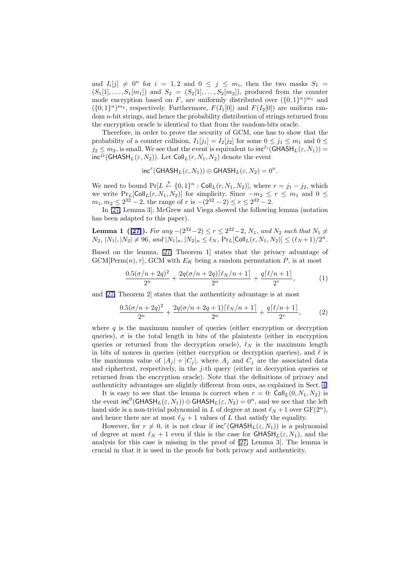<span id="page-6-0"></span>and  $I_i[j] \neq 0^n$  for  $i = 1, 2$  and  $0 \leq j \leq m_i$ , then the two masks  $S_1 =$  $(S_1[1], \ldots, S_1[m_1])$  and  $S_2 = (S_2[1], \ldots, S_2[m_2])$ , produced from the counter mode encryption based on *F*, are uniformly distributed over  $({0,1}<sup>n</sup>)<sup>m<sub>1</sub></sup>$  and  $(\{0,1\}^n)^m$ <sup>2</sup>, respectively. Furthermore,  $F(I_1[0])$  and  $F(I_2[0])$  are uniform random *n*-bit strings, and hence the probability distribution of strings returned from the encryption oracle is identical to that from the random-bits oracle.

Therefore, in order to prove the security of GCM, one has to show that the probability of a counter collision,  $I_1[j_1] = I_2[j_2]$  for some  $0 \le j_1 \le m_1$  and  $0 \le j_2 \le m_2$  $j_2 \leq m_2$ , is small. We see that the event is equivalent to  $\text{inc}^{j_1}(\text{GHASH}_L(\varepsilon, N_1))$  =  $inc^{j_2}$ (GHASH<sub>L</sub>(*ε*, *N*<sub>2</sub>)). Let Coll<sub>*L*</sub>(*r*, *N*<sub>1</sub>, *N*<sub>2</sub>) denote the event

 $inc^{r}(\mathsf{GHASH}_{L}(\varepsilon, N_1)) \oplus \mathsf{GHASH}_{L}(\varepsilon, N_2) = 0^n.$ 

We need to bound  $Pr[L \stackrel{\$}{\leftarrow} \{0,1\}^n : Coll_L(r, N_1, N_2)],$  where  $r = j_1 - j_2$ , which we write  $Pr_L[Coll_L(r, N_1, N_2)]$  for simplicity. Since  $−m_2 ≤ r ≤ m_1$  and  $0 ≤$  $m_1, m_2 \leq 2^{32} - 2$ , the range of *r* is  $-(2^{32} - 2) \leq r \leq 2^{32} - 2$ .

In [27, Lemma 3], McGrew and Viega showed the following lemma (notation has been adapted to this paper).

**Lemma 1** ([27]). For any  $-(2^{32}-2) \le r \le 2^{32}-2$ ,  $N_1$ , and  $N_2$  such that  $N_1 \ne$  $N_2, |N_1|, |N_2| \neq 96$  $N_2, |N_1|, |N_2| \neq 96$  $N_2, |N_1|, |N_2| \neq 96$ , and  $|N_1|_n, |N_2|_n \leq \ell_N$ ,  $Pr_L[\text{Coll}_L(r, N_1, N_2)] \leq (\ell_N + 1)/2^n$ .

Based on the lemma, [27, Theorem 1] states that the privacy advantage of  $GCM[Perm(n), \tau]$ , GCM with  $E_K$  being a random permutation P, is at most

$$
\frac{0.5(\sigma/n + 2q)^2}{2^n} + \frac{2q(\sigma/n + 2q)\lceil \ell_N/n + 1 \rceil}{2^n} + \frac{q\lceil \ell/n + 1 \rceil}{2^{\tau}},
$$
 (1)

and [27, Theorem 2] states that the authenticity advantage is at most

$$
\frac{0.5(\sigma/n + 2q)^2}{2^n} + \frac{2q(\sigma/n + 2q + 1)\lceil \ell_N/n + 1 \rceil}{2^n} + \frac{q\lceil \ell/n + 1 \rceil}{2^{\tau}},\tag{2}
$$

wher[e](#page-16-0) *q* is the maximum number of queries (either encryption or decryption queries),  $\sigma$  is the total length in bits of the plaintexts (either in encryption queries or returned from the decryption oracle), *ℓ<sup>N</sup>* is the maximum length in bits of nonces in queries (either encryption or decryption queries), and *ℓ* is the maximum value of  $|A_j| + |C_j|$ , where  $A_j$  and  $C_j$  are the associated data and ciphertext, respectively, in the *j*-th query (either in decryption queries or returned from the encryption oracle). Note that the definitions of privacy and authenticity advantages are slightly different from ours, as explained in Sect. 4.

It is easy to see that the lemma is correct when  $r = 0$ : Coll<sub>L</sub> $(0, N_1, N_2)$  is the event  $\text{inc}^0(\text{GHASH}_L(\varepsilon, N_1)) \oplus \text{GHASH}_L(\varepsilon, N_2) = 0^n$ , and we see that the left hand side is a non-trivial polynomial in *L* of degree at most  $\ell_N + 1$  over  $GF(2^n)$ , and hence there are at most  $\ell_N + 1$  values of *L* that satisfy the equality.

However, for  $r \neq 0$ , it is not clear if  $\text{inc}^r(\text{GHASH}_L(\varepsilon, N_1))$  is a polynomial of degree at most  $\ell_N + 1$  even if this is the case for  $GHASH_L(\varepsilon, N_1)$ , and the analysis for this case is missing in the proof of [27, Lemma 3]. The lemma is crucial in that it is used in the proofs for both privacy and authenticity.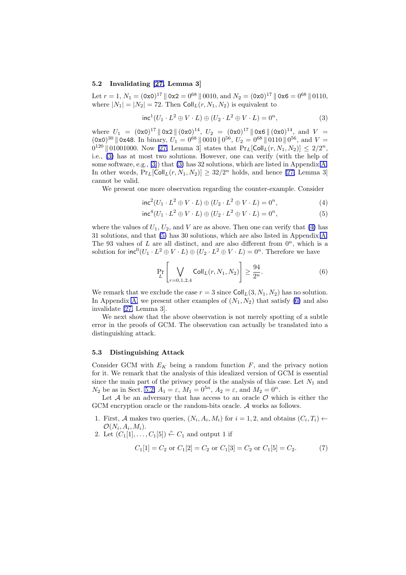#### <span id="page-7-0"></span>**5.2 Invalidating [27, Lemma 3]**

Let  $r = 1$ ,  $N_1 = (0 \times 0)^{17} \parallel 0 \times 2 = 0^{68} \parallel 0010$ , and  $N_2 = (0 \times 0)^{17} \parallel 0 \times 6 = 0^{68} \parallel 0110$ , where  $|N_1| = |N_2| = 72$ . Then  $\text{Coll}_L(r, N_1, N_2)$  is equivalent to

$$
\text{inc}^{1}(U_{1} \cdot L^{2} \oplus V \cdot L) \oplus (U_{2} \cdot L^{2} \oplus V \cdot L) = 0^{n},\tag{3}
$$

where  $U_1 = (0x0)^{17} || 0x2 || (0x0)^{14}, U_2 = (0x0)^{17} || 0x6 || (0x0)^{14}, \text{ and } V =$  $(0x0)^{30}$  *∥* 0x48. In binary,  $U_1 = 0^{68}$  *∥* 0010 *∥* 0<sup>56</sup>,  $U_2 = 0^{68}$  *∥* 0110 *∥* 0<sup>56</sup>, and  $V =$  $0^{120}$  || 01001000. Now [27, Lemma 3] states that  $Pr_L[Coll_L(r, N_1, N_2)] \leq 2/2^n$ , i.e., (3) has at most two solutions. However, one can verify (with the help of some software, e.g., [3]) that (3) has 32 solutions, which are listed in Appendix A. In other words,  $Pr_L[Coll_L(r, N_1, N_2)] \geq 32/2^n$  holds, and hence [27, Lemma 3] cannot be valid.

We present one more observation regarding the counter-example. Consider

$$
\text{inc}^2(U_1 \cdot L^2 \oplus V \cdot L) \oplus (U_2 \cdot L^2 \oplus V \cdot L) = 0^n,\tag{4}
$$

$$
\text{inc}^4(U_1 \cdot L^2 \oplus V \cdot L) \oplus (U_2 \cdot L^2 \oplus V \cdot L) = 0^n,\tag{5}
$$

where the values of  $U_1, U_2$ , and  $V$  are as above. Then one can verify that (4) has 31 solutions, and that (5) has 30 solutions, which are also listed in Appendix A. The 93 values of  $L$  are all distinct, and are also different from  $0<sup>n</sup>$ , which is a solution for  $\text{inc}^0(U_1 \cdot L^2 \oplus V \cdot L) \oplus (U_2 \cdot L^2 \oplus V \cdot L) = 0^n$ . Therefore we have

$$
\Pr_{L} \left[ \bigvee_{r=0,1,2,4} \text{Coll}_{L}(r, N_1, N_2) \right] \ge \frac{94}{2^n}.
$$
 (6)

We remark that we exclude the case  $r = 3$  since  $\text{Coll}_L(3, N_1, N_2)$  has no solution. In Appendix A, we present other examples of  $(N_1, N_2)$  that satisfy (6) and also invalidate [27, Lemma 3].

We next show that the above observation is not merely spotting of a subtle error in the proofs of GCM. The observation can actually be translated into a distinguishin[g a](#page-17-0)ttack.

#### **5.3 Distinguishing Attack**

Consider GCM with  $E_K$  being a random function  $F$ , and the privacy notion for it. We remark that the analysis of this idealized version of GCM is essential since the main part of the privacy proof is the analysis of this case. Let  $N_1$  and *N*<sub>2</sub> be as in Sect. 5.2,  $A_1 = \varepsilon$ ,  $M_1 = 0^{5n}$ ,  $A_2 = \varepsilon$ , and  $M_2 = 0^n$ .

Let  $A$  be an adversary that has access to an oracle  $O$  which is either the GCM encryption oracle or the random-bits oracle. *A* works as follows.

- 1. First, *A* makes two queries,  $(N_i, A_i, M_i)$  for  $i = 1, 2$ , and obtains  $(C_i, T_i) \leftarrow$  $\mathcal{O}(N_i, A_i, M_i).$
- 2. Let  $(C_1[1], \ldots, C_1[5]) \overset{n}{\leftarrow} C_1$  and output 1 if

$$
C_1[1] = C_2 \text{ or } C_1[2] = C_2 \text{ or } C_1[3] = C_2 \text{ or } C_1[5] = C_2. \tag{7}
$$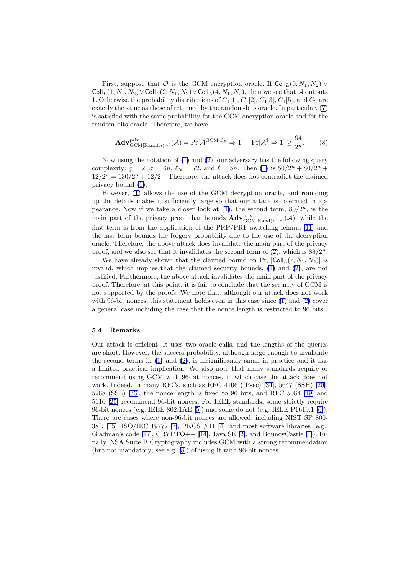First, suppose that  $\mathcal{O}$  is the GCM encryption oracle. If  $\text{Coll}_L(0, N_1, N_2)$   $\vee$ Coll<sub>*L*</sub>(1*, N*<sub>1</sub>*, N*<sub>2</sub>)*∨*Coll<sub>*L*</sub>(2*, N*<sub>1</sub>*, N*<sub>2</sub>)*∨*Coll<sub>*L*</sub>(4*, N*<sub>1</sub>*, N*<sub>2</sub>)*,* then we see that *A* outputs 1. Otherwise the probability distributions of  $C_1[1], C_1[2], C_1[3], C_1[5]$ , and  $C_2$  are exactly the same as those of returned by the random-bits oracle. In particular, (7) is satisfied with the same probability for the GCM encryption oracle and for the random-bits oracle. Therefore, we have

$$
\mathbf{Adv}_{\mathrm{GCM}[{\mathrm{Rand}}(n),\tau]}^{\mathrm{priv}}(\mathcal{A}) = \Pr[\mathcal{A}^{\mathrm{GCM}\text{-}\mathcal{E}_F} \Rightarrow 1] - \Pr[\mathcal{A}^{\$} \Rightarrow 1] \ge \frac{94}{2^n}.
$$
 (8)

Now using the notation of (1) and (2), our adversary has the following query complexity:  $q = 2$ ,  $\sigma = 6n$ ,  $\ell_N = 72$ , and  $\ell = 5n$ . Then (1) is  $50/2^n + 80/2^n +$  $12/2^{\tau} = 130/2^{\tau} + 12/2^{\tau}$ . Therefore, the attack does not contradict the claimed privacy bound (1).

However, (1) allows the u[se](#page-6-0) of th[e G](#page-6-0)CM decryption oracle, and rounding up the details makes it sufficiently large so that our att[ac](#page-6-0)k is tolerated in appearance. Now if we take a closer look at  $(1)$ , the second term,  $80/2<sup>n</sup>$ , is the main part of t[he](#page-6-0) privacy proof that bounds  $\mathbf{Adv}_{\mathrm{GCM}[{\mathrm{Rand}}(n),\tau]}^{\mathrm{priv}}(\mathcal{A})$ , while the first term is f[rom](#page-6-0) the application of the PRP/PRF switching lemma [11] and the last term bounds the forgery probability due to the use of the decryption oracle. Therefore, the above attack does inv[ali](#page-6-0)date the main part of the privacy proof, and we also see that it invalidates the second term of  $(2)$ , which is  $88/2<sup>n</sup>$ .

We have already shown that the claimed bound on  $Pr_L[Coll_L(r, N_1, N_2)]$  $Pr_L[Coll_L(r, N_1, N_2)]$  $Pr_L[Coll_L(r, N_1, N_2)]$  is invalid, which implies that the claimed security bounds, (1) and (2), are not justified. Furthermore, the above attack invalidates the main part of the privacy proof. Therefore, at this point, it is fair to conclude that the [se](#page-6-0)curity of GCM is not supported by the proofs. We note that, although our attack does not work with 96-bit no[nce](#page-6-0)s, this statement holds even in this case since  $(1)$  a[nd](#page-6-0)  $(2)$  cover a general case including the case that the nonce length is restricted to 96 bits.

#### **5.4 Remarks**

Our attack is efficient. It uses two oracle calls, and the lengths of the queries are short. However, the success probability, although large enough to invalidate the second terms in (1) and (2), is insignificantly small in practice and it has a limited practical implication. We also note that many standards require or recommend using GCM with 96-bit nonces, in which case the attack does not work. Indeed, in many RFCs, such as RFC 4106 (IPsec) [34], 5647 (SSH) [20], 5288 (SSL) [33], the [no](#page-6-0)nce le[ng](#page-6-0)th is fixed to 96 bits, and RFC 5084 [19] and 5116 [25] recommend 96-bit nonces. For IEEE standards, some strictly require 96-bit nonces (e.g. IEEE 802.1AE [5]) and some do not (e.g. IEEE P1619.1 [6]). There are cases where non-96-bit nonces are allowed, inc[lud](#page-17-0)ing NIST SP [800](#page-16-0)- 38D [15], IS[O/I](#page-17-0)EC 19772 [7], PKCS #11 [4], and most software librari[es \(](#page-16-0)e.g., Glad[man](#page-16-0)'s code [17],  $CRYPTO++$  [14], Java SE [2], and BouncyCastle [1]). Finally, NSA Suite B Cryptography i[nc](#page-15-0)ludes GCM with a strong recommenda[tio](#page-15-0)n (but not mandatory; see e.g. [8]) of using it with 96-bit nonces.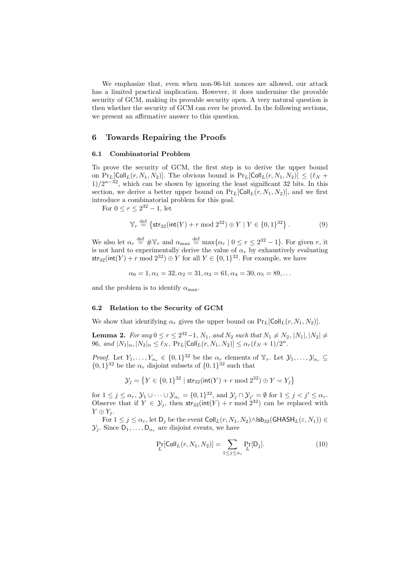<span id="page-9-0"></span>We emphasize that, even when non-96-bit nonces are allowed, our attack has a limited practical implication. However, it does undermine the provable security of GCM, making its provable security open. A very natural question is then whether the security of GCM can ever be proved. In the following sections, we present an affirmative answer to this question.

### **6 Towards Repairing the Proofs**

### **6.1 Combinatorial Problem**

To prove the security of GCM, the first step is to derive the upper bound on  $\Pr_L[\text{Coll}_L(r, N_1, N_2)]$ . The obvious bound is  $\Pr_L[\text{Coll}_L(r, N_1, N_2)] \leq (\ell_N + \ell_N)$  $1/2^{n-32}$ , which can be shown by ignoring the least significant 32 bits. In this section, we derive a better upper bound on  $Pr_L[Coll_L(r, N_1, N_2)]$ , and we first introduce a combinatorial problem for this goal.

For  $0 \le r \le 2^{32} - 1$ , let

$$
\mathbb{Y}_r \stackrel{\text{def}}{=} \left\{ \text{str}_{32}(\text{int}(Y) + r \bmod 2^{32}) \oplus Y \mid Y \in \{0, 1\}^{32} \right\}. \tag{9}
$$

We also let  $\alpha_r \stackrel{\text{def}}{=} \# \mathbb{Y}_r$  and  $\alpha_{\text{max}} \stackrel{\text{def}}{=} \max\{\alpha_r \mid 0 \le r \le 2^{32} - 1\}$ . For given *r*, it is not hard to experimentally derive the value of  $\alpha_r$  by exhaustively evaluating  $\text{str}_{32}(\text{int}(Y) + r \text{ mod } 2^{32}) \oplus Y$  for all  $Y \in \{0,1\}^{32}$ . For example, we have

$$
\alpha_0 = 1, \alpha_1 = 32, \alpha_2 = 31, \alpha_3 = 61, \alpha_4 = 30, \alpha_5 = 89, \dots
$$

and the problem is to identify  $\alpha_{\text{max}}$ .

#### **6.2 Relation to the Security of GCM**

We show that identifying  $\alpha_r$  gives the upper bound on  $\Pr_L[\text{Coll}_L(r, N_1, N_2)].$ 

**Lemma 2.** For any  $0 \le r \le 2^{32} - 1$ ,  $N_1$ , and  $N_2$  such that  $N_1 \ne N_2$ ,  $|N_1|, |N_2| \ne$ 96, and  $|N_1|_n, |N_2|_n \le \ell_N$ ,  $Pr_L[Coll_L(r, N_1, N_2)] \le \alpha_r(\ell_N + 1)/2^n$ .

*Proof.* Let  $Y_1, \ldots, Y_{\alpha_r} \in \{0,1\}^{32}$  be the  $\alpha_r$  elements of  $\mathbb{Y}_r$ . Let  $\mathcal{Y}_1, \ldots, \mathcal{Y}_{\alpha_r} \subseteq$  $\{0,1\}^{32}$  be the  $\alpha_r$  disjoint subsets of  $\{0,1\}^{32}$  such that

$$
\mathcal{Y}_j = \left\{ Y \in \{0, 1\}^{32} \mid \text{str}_{32}(\text{int}(Y) + r \mod 2^{32}) \oplus Y = Y_j \right\}
$$

for  $1 \leq j \leq \alpha_r$ ,  $\mathcal{Y}_1 \cup \cdots \cup \mathcal{Y}_{\alpha_r} = \{0,1\}^{32}$ , and  $\mathcal{Y}_j \cap \mathcal{Y}_{j'} = \emptyset$  for  $1 \leq j < j' \leq \alpha_r$ . Observe that if  $Y \in \mathcal{Y}_j$ , then  $str_{32}(int(Y) + r \mod 2^{32})$  can be replaced with  $Y \oplus Y_j$ .

For  $1 \leq j \leq \alpha_r$ , let  $D_j$  be the event  $\text{Coll}_L(r, N_1, N_2) \wedge \text{lsb}_{32}(\text{GHASH}_L(\varepsilon, N_1)) \in$  $\mathcal{Y}_i$ . Since  $D_1, \ldots, D_{\alpha_r}$  are disjoint events, we have

$$
\Pr_{L}[\text{Coll}_{L}(r, N_1, N_2)] = \sum_{1 \le j \le \alpha_r} \Pr_{L}[\text{D}_j]. \tag{10}
$$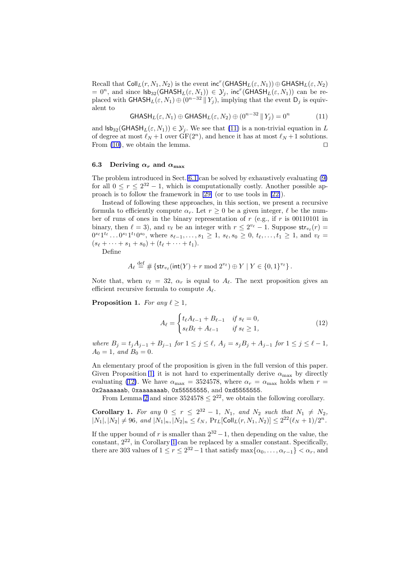<span id="page-10-0"></span> $\text{Recall that } \textsf{Coll}_L(r, N_1, N_2) \text{ is the event } \textsf{inc}^r(\textsf{GHASH}_L(\varepsilon, N_1)) \oplus \textsf{GHASH}_L(\varepsilon, N_2)$  $= 0^n$ , and since  $\frac{1}{s}S_2(\text{GHASH}_L(\varepsilon, N_1)) \in \mathcal{Y}_j$ , inc<sup>r</sup>(GHASH<sub>L</sub>( $\varepsilon, N_1$ )) can be replaced with  $GHASH_L(\varepsilon, N_1) \oplus (0^{n-32} || Y_j)$ , implying that the event  $D_j$  is equivalent to

$$
\mathsf{GHASH}_L(\varepsilon, N_1) \oplus \mathsf{GHASH}_L(\varepsilon, N_2) \oplus (0^{n-32} \parallel Y_j) = 0^n \tag{11}
$$

and  $\textsf{lsb}_{32}(\textsf{GHASH}_L(\varepsilon, N_1)) \in \mathcal{Y}_i$ . We see that (11) is a non-trivial equation in L of degree at most  $\ell_N + 1$  over  $GF(2^n)$ , and hence it has at most  $\ell_N + 1$  solutions. From (10), we obtain the lemma. *⊓⊔*

#### **6.3** Deriving  $\alpha_r$  and  $\alpha_{\text{max}}$

The pr[obl](#page-9-0)em introduced in Sect. 6.1 can be solved by exhaustively evaluating (9) for all  $0 \le r \le 2^{32} - 1$ , which is computationally costly. Another possible approach is to follow the framework in [29] (or to use tools in [22]).

Instead of following these approaches, in this section, we present a recursive formula to efficiently compute  $\alpha_r$ [. L](#page-9-0)et  $r \geq 0$  be a given integer,  $\ell$  be the nu[m](#page-9-0)ber of runs of ones in the binary representation of *r* (e.g., if *r* is 00110101 in binary, then  $\ell = 3$ ), and  $v_{\ell}$  be an int[ege](#page-17-0)r with  $r \leq 2^{v_{\ell}} - 1$ . [Sup](#page-16-0)pose  $str_{v_{\ell}}(r) =$  $0^{s_{\ell}}1^{t_{\ell}}\ldots 0^{s_1}1^{t_1}0^{s_0}$ , where  $s_{\ell-1},\ldots,s_1\geq 1$ ,  $s_{\ell},s_0\geq 0$ ,  $t_{\ell},\ldots,t_1\geq 1$ , and  $v_{\ell} =$  $(s_{\ell} + \cdots + s_1 + s_0) + (t_{\ell} + \cdots + t_1).$ 

Define

$$
A_{\ell} \stackrel{\text{def}}{=} \# \left\{ \text{str}_{v_{\ell}}(\text{int}(Y) + r \bmod 2^{v_{\ell}}) \oplus Y \mid Y \in \{0,1\}^{v_{\ell}} \right\}.
$$

Note that, when  $v_{\ell} = 32$ ,  $\alpha_r$  is equal to  $A_{\ell}$ . The next proposition gives an efficient recursive formula to compute *Aℓ*.

**Proposition 1.** *For any*  $\ell \geq 1$ *,* 

$$
A_{\ell} = \begin{cases} t_{\ell}A_{\ell-1} + B_{\ell-1} & \text{if } s_{\ell} = 0, \\ s_{\ell}B_{\ell} + A_{\ell-1} & \text{if } s_{\ell} \ge 1, \end{cases}
$$
 (12)

where  $B_j = t_j A_{j-1} + B_{j-1}$  for  $1 \le j \le \ell$ ,  $A_j = s_j B_j + A_{j-1}$  for  $1 \le j \le \ell - 1$ ,  $A_0 = 1$ *, and*  $B_0 = 0$ *.* 

An elementary proof of the proposition is given in the full version of this paper. Given Proposition 1, it is not hard to experimentally derive  $\alpha_{\text{max}}$  by directly evaluating (12). We have  $\alpha_{\text{max}} = 3524578$ , where  $\alpha_r = \alpha_{\text{max}}$  holds when  $r =$ 0x2aaaaaab, 0xaaaaaaab, 0x55555555, and 0xd5555555.

From Lemma 2 and since  $3524578 \leq 2^{22}$ , we obtain the following corollary.

**Corollary 1.** For any 
$$
0 \le r \le 2^{32} - 1
$$
,  $N_1$ , and  $N_2$  such that  $N_1 \ne N_2$ ,  $|N_1|, |N_2| \ne 96$ , and  $|N_1|, |N_2| \le \ell_N$ ,  $\Pr_L[\text{Coll}_L(r, N_1, N_2)] \le 2^{22}(\ell_N + 1)/2^n$ .

If the upper bou[nd](#page-9-0) of *r* is smaller than  $2^{32} - 1$ , then depending on the value, the constant,  $2^{22}$ , in Corollary 1 can be replaced by a smaller constant. Specifically, there are 303 values of  $1 \le r \le 2^{32} - 1$  that satisfy  $\max\{\alpha_0, \ldots, \alpha_{r-1}\} < \alpha_r$ , and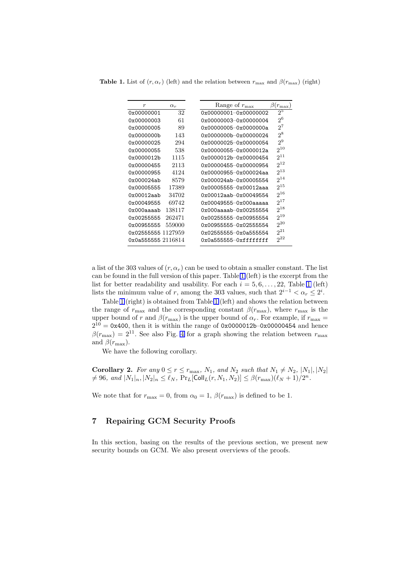| $\boldsymbol{r}$   | $\alpha_r$ | Range of $r_{\text{max}}$ | $\beta(r_{\rm max})$ |
|--------------------|------------|---------------------------|----------------------|
| 0x00000001         | 32         | 0x00000001-0x00000002     | $2^{5}$              |
| 0x00000003         | 61         | 0x00000003-0x00000004     | $2^6$                |
| 0x00000005         | 89         | 0x00000005-0x0000000a     | $2^7$                |
| 0x0000000b         | 143        | 0x0000000b-0x00000024     | $2^8$                |
| 0x00000025         | 294        | 0x00000025-0x00000054     | $2^9$                |
| 0x00000055         | 538        | 0x00000055-0x0000012a     | $2^{10}$             |
| 0x0000012b         | 1115       | 0x0000012b-0x00000454     | $2^{11}$             |
| 0x00000455         | 2113       | 0x00000455-0x00000954     | $2^{12}$             |
| 0x00000955         | 4124       | 0x00000955-0x000024aa     | $2^{13}$             |
| 0x000024ab         | 8579       | 0x000024ab-0x00005554     | $2^{14}$             |
| 0x00005555         | 17389      | 0x00005555-0x00012aaa     | $2^{15}\,$           |
| 0x00012aab         | 34702      | 0x00012aab-0x00049554     | $2^{16}$             |
| 0x00049555         | 69742      | 0x00049555-0x000aaaaa     | $2^{17}$             |
| 0x000aaaab         | 138117     | 0x000aaaab-0x00255554     | $2^{18}$             |
| 0x00255555         | 262471     | 0x00255555-0x00955554     | $2^{19}$             |
| 0x00955555         | 559000     | 0x00955555-0x02555554     | $2^{20}$             |
| 0x02555555 1127959 |            | 0x02555555-0x0a555554     | $2^{21}$             |
| 0x0a555555 2116814 |            | $0x0a555555-0xffffffff$   | $2^{22}$             |

<span id="page-11-0"></span>**Table 1.** List of  $(r, \alpha_r)$  (left) and the relation between  $r_{\text{max}}$  and  $\beta(r_{\text{max}})$  (right)

a list of the 303 values of  $(r, \alpha_r)$  can be used to obtain a smaller constant. The list can be found in the full version of this paper. Table 1 (left) is the excerpt from the list for better readability and usability. For each  $i = 5, 6, \ldots, 22$ , Table 1 (left) lists the minimum value of *r*, among the 303 values, such that  $2^{i-1} < \alpha_r \leq 2^i$ .

Table 1 (right) is obtained from Table 1 (left) and shows the relation between the range of  $r_{\text{max}}$  and the corresponding constant  $\beta(r_{\text{max}})$ , where  $r_{\text{max}}$  is the upper bound of *r* and  $\beta(r_{\text{max}})$  is the upper bound of  $\alpha_r$ . For example, if  $r_{\text{max}} =$  $2^{10} = 0x400$ , then it is within the range of  $0x0000012b - 0x00000454$  and hence  $\beta(r_{\text{max}}) = 2^{11}$ . See also Fig. 4 for a graph showing the relation between  $r_{\text{max}}$ and  $\beta(r_{\text{max}})$ .

We have the following corollary.

**Corollary 2.** For any  $0 \le r \le r_{\text{max}}$ ,  $N_1$ , and  $N_2$  such that  $N_1 \ne N_2$ ,  $|N_1|, |N_2|$  $\neq 96$ , and  $|N_1|_n, |N_2|_n \leq \ell_N$ ,  $Pr_L[\text{Coll}_L(r, N_1, N_2)] \leq \beta(r_{\text{max}})(\ell_N + 1)/2^n$ .

We note that for  $r_{\text{max}} = 0$ , from  $\alpha_0 = 1$ ,  $\beta(r_{\text{max}})$  is defined to be 1.

### **7 Repairing GCM Security Proofs**

In this section, basing on the results of the previous section, we present new security bounds on GCM. We also present overviews of the proofs.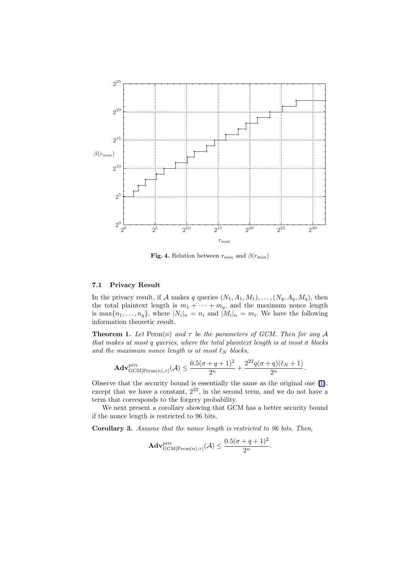<span id="page-12-0"></span>

**Fig. 4.** Relation between  $r_{\text{max}}$  and  $\beta(r_{\text{max}})$ 

#### **7.1 Privacy Result**

In the privacy result, if *A* makes *q* queries  $(N_1, A_1, M_1), \ldots, (N_q, A_q, M_q)$ , then the total plaintext length is  $m_1 + \cdots + m_q$ , and the maximum nonce length is max $\{n_1, \ldots, n_q\}$ , where  $|N_i|_n = n_i$  and  $|M_i|_n = m_i$ . We have the following information theoretic result.

**Theorem 1.** *Let*  $\text{Perm}(n)$  *and*  $\tau$  *be the parameters of GCM. Then for any*  $\mathcal{A}$ *that makes at most q queries, where the total plaintext length is at most*  $\sigma$  *blocks and the maximum nonce length is at most*  $\ell_N$  *blocks,* 

$$
\mathbf{Adv}_{\mathrm{GCM[Perm}(n),\tau]}^{\mathrm{priv}}(\mathcal{A}) \leq \frac{0.5(\sigma+q+1)^2}{2^n} + \frac{2^{22}q(\sigma+q)(\ell_N+1)}{2^n}.
$$

Observe that the security bound is essentially the same as the original one (1), except that we have a constant,  $2^{22}$ , in the second term, and we do not have a term that corresponds to the forgery probability.

We next present a corollary showing that GCM has a better security bound if the nonce length is restricted to 96 bits.

**Corollary 3.** *Assume that the nonce length is restricted to 96 bits. Then,*

$$
\mathbf{Adv}_{\mathrm{GCM}[\mathrm{Perm}(n),\tau]}^{\mathrm{priv}}(\mathcal{A}) \leq \frac{0.5(\sigma+q+1)^2}{2^n}.
$$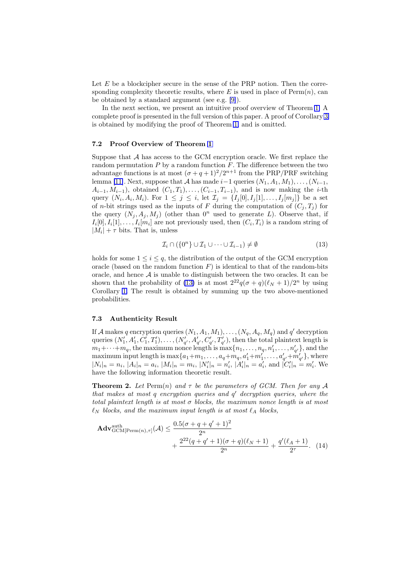<span id="page-13-0"></span>Let *E* be a blockcipher secure in the sense of the PRP notion. Then the corresponding complexity theoretic results, where  $E$  is used in place of  $\text{Perm}(n)$ , can be obtained by a standard argument (see e.g. [9]).

In the next section, we present an intuitive proof overview of Theorem 1. A complete proof is presented in the full version of this paper. A proof of Corollary 3 is obtained by modifying the proof of Theorem 1, and is omitted.

#### **7.2 Proof Overview of Theorem 1**

Suppose that *A* has access to the GCM encryp[tio](#page-12-0)n oracle. We first replace the random permutation  $P$  by a random function  $F$ . The difference between the two advantage functions is at most  $(\sigma + q + 1)^2/2^{n+1}$  from the PRP/PRF switching lemma [11]. Next, suppose that *A* has [mad](#page-12-0)e *i* $-1$  queries  $(N_1, A_1, M_1), \ldots, (N_{i-1},$ *A*<sub>*i*</sub><sup>−1</sup>*, M*<sub>*i*</sub><sup>−1</sup>*)*, obtained  $(C_1, T_1)$ *, . . . ,*  $(C_{i-1}, T_{i-1})$ *,* and is now making the *i*-th query  $(N_i, A_i, M_i)$ . For  $1 \leq j \leq i$ , let  $\mathcal{I}_j = \{I_j[0], I_j[1], \ldots, I_j[m_j]\}$  be a set of *n*-bit strings used as the inputs of *F* during the computation of  $(C_j, T_j)$  for the qu[ery](#page-16-0)  $(N_j, A_j, M_j)$  (other than  $0^n$  used to generate *L*). Observe that, if  $I_i[0], I_i[1], \ldots, I_i[m_i]$  are not previously used, then  $(C_i, T_i)$  is a random string of  $|M_i| + \tau$  bits. That is, unless

$$
\mathcal{I}_i \cap (\{0^n\} \cup \mathcal{I}_1 \cup \dots \cup \mathcal{I}_{i-1}) \neq \emptyset \tag{13}
$$

holds for some  $1 \leq i \leq q$ , the distribution of the output of the GCM encryption oracle (based on the random function  $F$ ) is identical to that of the random-bits oracle, and hence *A* is unable to distinguish between the two oracles. It can be shown that the probability of (13) is at most  $2^{22}q(\sigma+q)(\ell_N+1)/2^n$  by using Corollary 1. The result is obtained by summing up the two above-mentioned probabilities.

#### **7.3 Au[th](#page-10-0)enticity Result**

If *A* makes *q* encryption queries  $(N_1, A_1, M_1), \ldots, (N_q, A_q, M_q)$  and *q'* decryption queries  $(N'_1, A'_1, C'_1, T'_1), \ldots, (N'_{q'}, A'_{q'}, C'_{q'}, T'_{q'})$ , then the total plaintext length is  $m_1 + \cdots + m_q$ , the maximum nonce length is  $\max\{n_1, \ldots, n_q, n'_1, \ldots, n'_{q'}\}$ , and the maximum input length is  $\max\{a_1+m_1,\ldots,a_q+m_q,a'_1+m'_1,\ldots,a'_{q'}+m'_{q'}\}$ , where  $|N_i|_n = n_i$ ,  $|A_i|_n = a_i$ ,  $|M_i|_n = m_i$ ,  $|N'_i|_n = n'_i$ ,  $|A'_i|_n = a'_i$ , and  $|C'_i|_n = m'_i$ . We have the following information theoretic result.

**Theorem 2.** Let  $\text{Perm}(n)$  and  $\tau$  be the parameters of GCM. Then for any A *that makes at most q encryption queries and q ′ decryption queries, where the total plaintext length is at most σ blocks, the maximum nonce length is at most*  $\ell_N$  blocks, and the maximum input length is at most  $\ell_A$  blocks,

$$
\mathbf{Adv}_{\mathrm{GCM}[\mathrm{Perm}(n),\tau]}^{\mathrm{auth}}(\mathcal{A}) \le \frac{0.5(\sigma + q + q' + 1)^2}{2^n} + \frac{2^{22}(q + q' + 1)(\sigma + q)(\ell_N + 1)}{2^n} + \frac{q'(\ell_A + 1)}{2^\tau}.
$$
 (14)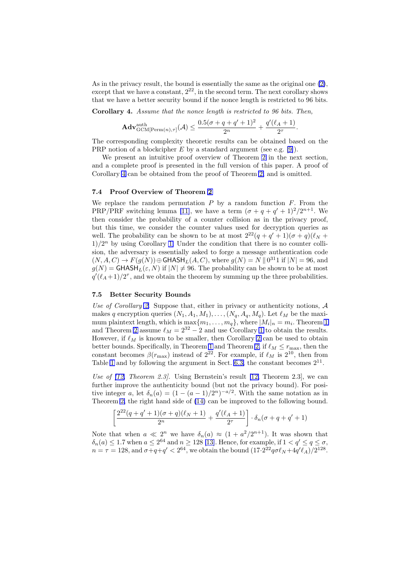As in the privacy result, the bound is essentially the same as the original one (2), except that we have a constant,  $2^{22}$ , in the second term. The next corollary shows that we have a better security bound if the nonce length is restricted to 96 bits.

**Corollary 4.** *Assume that the nonce length is restricted to 96 bits. Then,*

$$
\mathbf{Adv}_{\mathrm{GCM[Perm}(n),\tau]}^{\mathrm{auth}}(\mathcal{A}) \leq \frac{0.5(\sigma+q+q'+1)^2}{2^n} + \frac{q'(\ell_A+1)}{2^{\tau}}.
$$

The corresponding complexity theoretic results can be obtained based on the PRP notion of a blockcipher *E* by a standard argument (see e.g. [9]).

We present an intuitive proof overview of Theorem 2 in the next section, and a complete proof is presented in the full version of this paper. A proof of Corollary 4 can be obtained from the proof of Theorem 2, and is omitted.

### **7.4 Proof Overview of Theorem 2**

We replace the random permutation  $P$  by a random [fu](#page-13-0)nction  $F$ . From the PRP/PRF switching lemma [11], we have a term  $(\sigma + q + q' + 1)^2/2^{n+1}$ . We then consider the probability of a counter collision as in the privacy proof, but this time, we consider the count[er](#page-13-0) values used for decryption queries as well. The probability can be shown to be at most  $2^{22}(q+q'+1)(\sigma+q)(\ell_N+q')$  $1/2<sup>n</sup>$  by using Corollary 1. [Und](#page-16-0)er the condition that there is no counter collision, the adversary is essentially asked to forge a message authentication code  $(N, A, C) \to F(g(N)) \oplus \text{GHASH}_L(A, C)$ , where  $g(N) = N || 0^{31}1$  if  $|N| = 96$ , and  $g(N) = \text{GHASH}_L(\varepsilon, N)$  if  $|N| \neq 96$ . The probability can be shown to be at most  $q'(\ell_A+1)/2^{\tau}$ , and we obt[ain](#page-10-0) the theorem by summing up the three probabilities.

#### **7.5 Better Security Bounds**

*Use of Corollary 2.* Suppose that, either in privacy or authenticity notions, *A* makes *q* encryption queries  $(N_1, A_1, M_1), \ldots, (N_q, A_q, M_q)$ . Let  $\ell_M$  be the maximum plaintext length, which is  $\max\{m_1, \ldots, m_q\}$ , where  $|M_i|_n = m_i$ . Theorem 1 and Theorem 2 assume  $\ell_M = 2^{32} - 2$  and use Corollary 1 to obtain the results. However, if  $\ell_M$  is [k](#page-11-0)nown to be smaller, then Corollary 2 can be used to obtain better bounds. Specifically, in Theorem 1 and Theorem 2, if  $\ell_M \leq r_{\text{max}}$ , then the constant beco[m](#page-12-0)es  $\beta(r_{\text{max}})$  instead of  $2^{22}$ . For example, if  $\ell_M$  is  $2^{10}$ , then from Table 1 and [by](#page-13-0) following the argument in Sect. 6.3, the [co](#page-10-0)nstant becomes  $2^{11}$ .

*Use of [12, Theorem 2.3].* Using Ber[nst](#page-12-0)ein's result [[12,](#page-13-0) Theorem 2.3], we can further improve the authenticity bound (but not the privacy bound). For positive i[nte](#page-11-0)ger *a*, let  $\delta_n(a) = (1 - (a-1)/2^n)^{-a/2}$ [. W](#page-10-0)ith the same notation as in Theorem 2, the right hand side of (14) can be improved to the following bound.

$$
\left[\frac{2^{22}(q+q'+1)(\sigma+q)(\ell_N+1)}{2^n} + \frac{q'(\ell_A+1)}{2^{\tau}}\right] \cdot \delta_n(\sigma+q+q'+1)
$$

Note tha[t w](#page-13-0)he[n](#page-13-0)  $a \ll 2^n$  we have  $\delta_n(a) \approx (1 + a^2/2^{n+1})$ . It was shown that  $\delta_n(a) \leq 1.7$  when  $a \leq 2^{64}$  and  $n \geq 128$  [13]. Hence, for example, if  $1 < q' \leq q \leq \sigma$ ,  $n = \tau = 128$ , and  $\sigma + q + q' < 2^{64}$ , we obtain the bound  $(17 \cdot 2^{22} q \sigma \ell_N + 4q' \ell_A)/2^{128}$ .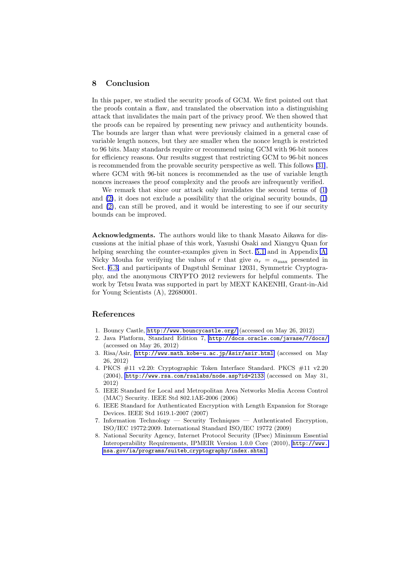### <span id="page-15-0"></span>**8 Conclusion**

In this paper, we studied the security proofs of GCM. We first pointed out that the proofs contain a flaw, and translated the observation into a distinguishing attack that invalidates the main part of the privacy proof. We then showed that the proofs can be repaired by presenting new privacy and authenticity bounds. The bounds are larger than what were previously claimed in a general case of variable length nonces, but they are smaller when the nonce length is restricted to 96 bits. Many standards require or recommend using GCM with 96-bit nonces for efficiency reasons. Our results suggest that restricting GCM to 96-bit nonces is recommended from the provable security perspective as well. This follows [31], where GCM with 96-bit nonces is recommended as the use of variable length nonces increases the proof complexity and the proofs are infrequently verified.

We remark that since our attack only invalidates the second terms of (1) and (2), it does not exclude a possibility that the original security bounds, [\(1](#page-17-0)) and (2), can still be proved, and it would be interesting to see if our security bounds can be improved.

**Ack[no](#page-6-0)wledgments.** The authors would like to thank Masato Aikawa for d[is](#page-6-0)cussi[on](#page-6-0)s at the initial phase of this work, Yasushi Osaki and Xiangyu Quan for helping searching the counter-examples given in Sect. 5.1 and in Appendix A, Nicky Mouha for verifying the values of *r* that give  $\alpha_r = \alpha_{\text{max}}$  presented in Sect. 6.3, and participants of Dagstuhl Seminar 12031, Symmetric Cryptography, and the anonymous CRYPTO 2012 reviewers for helpful comments. The work by Tetsu Iwata was supported in part by MEXT [KAK](#page-5-0)ENHI, Grant-in-[Aid](#page-17-0) for Young Scientists (A), 22680001.

### **References**

- 1. Bouncy Castle, http://www.bouncycastle.org/ (accessed on May 26, 2012)
- 2. Java Platform, Standard Edition 7, http://docs.oracle.com/javase/7/docs/ (accessed on May 26, 2012)
- 3. Risa/Asir, http://www.math.kobe-u.ac.jp/Asir/asir.html (accessed on May 26, 2012)
- 4. PKCS #11 v2.[20: Cryptographic Token Interfa](http://www.bouncycastle.org/)[ce Standard. PKCS #11 v2.20](http://docs.oracle.com/javase/7/docs/) (2004), http://www.rsa.com/rsalabs/node.asp?id=2133 (accessed on May 31, 2012)
- 5. IEEE Stan[dard for Local and Metropolitan Area Networks Me](http://www.math.kobe-u.ac.jp/Asir/asir.html)dia Access Control (MAC) Security. IEEE Std 802.1AE-2006 (2006)
- 6. IEEE Standard for Authenticated Encryption with Length Expansion for Storage Devices[. IEEE Std 1619.1-2007 \(2007\)](http://www.rsa.com/rsalabs/node.asp?id=2133)
- 7. Information Technology Security Techniques Authenticated Encryption, ISO/IEC 19772:2009. International Standard ISO/IEC 19772 (2009)
- 8. National Security Agency, Internet Protocol Security (IPsec) Minimum Essential Interoperability Requirements, IPMEIR Version 1.0.0 Core (2010), http://www. nsa.gov/ia/programs/suiteb cryptography/index.shtml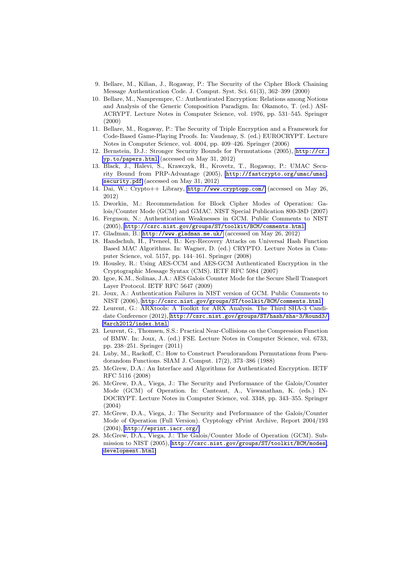- <span id="page-16-0"></span>9. Bellare, M., Kilian, J., Rogaway, P.: The Security of the Cipher Block Chaining Message Authentication Code. J. Comput. Syst. Sci. 61(3), 362–399 (2000)
- 10. Bellare, M., Namprempre, C.: Authenticated Encryption: Relations among Notions and Analysis of the Generic Composition Paradigm. In: Okamoto, T. (ed.) ASI-ACRYPT. Lecture Notes in Computer Science, vol. 1976, pp. 531–545. Springer (2000)
- 11. Bellare, M., Rogaway, P.: The Security of Triple Encryption and a Framework for Code-Based Game-Playing Proofs. In: Vaudenay, S. (ed.) EUROCRYPT. Lecture Notes in Computer Science, vol. 4004, pp. 409–426. Springer (2006)
- 12. Bernstein, D.J.: Stronger Security Bounds for Permutations (2005), http://cr. yp.to/papers.html (accessed on May 31, 2012)
- 13. Black, J., Halevi, S., Krawczyk, H., Krovetz, T., Rogaway, P.: UMAC Security Bound from PRP-Advantage (2005), http://fastcrypto.org/umac/umac security.pdf (accessed on May 31, 2012)
- 14. [Dai, W.: Crypto++](http://cr.yp.to/papers.html) Library, http://www.cryptopp.com/ (accessed [on May 26,](http://cr.yp.to/papers.html) 2012)
- 15. Dworkin, M.: Recommendation for Block Cipher Modes of Operation: Galois/Counter Mode (GCM) and GMAC. NIS[T Special Publication 800-38D \(2007\)](http://fastcrypto.org/umac/umac_security.pdf)
- 16. [Ferguson, N.:](http://fastcrypto.org/umac/umac_security.pdf) Authentication Weaknesses in GCM. Public Comments to NIST (2005), http://csrc.nist.go[v/groups/ST/toolkit/BCM/c](http://www.cryptopp.com/)omments.html
- 17. Gladman, B.: http://www.gladman.me.uk/ (accessed on May 26, 2012)
- 18. Handschuh, H., Preneel, B.: Key-Recovery Attacks on Universal Hash Function Based MAC Algorithms. In: Wagner, D. (ed.) CRYPTO. Lecture Notes in Computer Science, vol. 5157, pp. 144–161. Springer (2008)
- 19. Housle[y, R.: Using AES-CCM and AES-GCM Authenticated Encryption](http://csrc.nist.gov/groups/ST/toolkit/BCM/comments.html) in the Cryptographi[c Message Syntax \(CMS\). IET](http://www.gladman.me.uk/)F RFC 5084 (2007)
- 20. Igoe, K.M., Solinas, J.A.: AES Galois Counter Mode for the Secure Shell Transport Layer Protocol. IETF RFC 5647 (2009)
- 21. Joux, A.: Authentication Failures in NIST version of GCM. Public Comments to NIST (2006), http://csrc.nist.gov/groups/ST/toolkit/BCM/comments.html
- 22. Leurent, G.: ARXtools: A Toolkit for ARX Analysis. The Third SHA-3 Candidate Conference (2012), http://csrc.nist.gov/groups/ST/hash/sha-3/Round3/ March2012/index.html
- 23. Leurent, G., Thomsen, S.S.: Practical Near-Collisions on the Compression Function of BMW. In: [Joux, A. \(ed.\) FSE. Lecture Notes in Computer Science, vol. 673](http://csrc.nist.gov/groups/ST/toolkit/BCM/comments.html)3, pp. 238–251. Springer (2011)
- 24. Luby, M., Rackoff, C.: [How to Construct Pseudorandom Permutations from Pseu](http://csrc.nist.gov/groups/ST/hash/sha-3/Round3/March2012/index.html)[dorandom Functions. SI](http://csrc.nist.gov/groups/ST/hash/sha-3/Round3/March2012/index.html)AM J. Comput. 17(2), 373–386 (1988)
- 25. McGrew, D.A.: An Interface and Algorithms for Authenticated Encryption. IETF RFC 5116 (2008)
- 26. McGrew, D.A., Viega, J.: The Security and Performance of the Galois/Counter Mode (GCM) of Operation. In: Canteaut, A., Viswanathan, K. (eds.) IN-DOCRYPT. Lecture Notes in Computer Science, vol. 3348, pp. 343–355. Springer (2004)
- 27. McGrew, D.A., Viega, J.: The Security and Performance of the Galois/Counter Mode of Operation (Full Version). Cryptology ePrint Archive, Report 2004/193 (2004), http://eprint.iacr.org/
- 28. McGrew, D.A., Viega, J.: The Galois/Counter Mode of Operation (GCM). Submission to NIST (2005), http://csrc.nist.gov/groups/ST/toolkit/BCM/modes development.html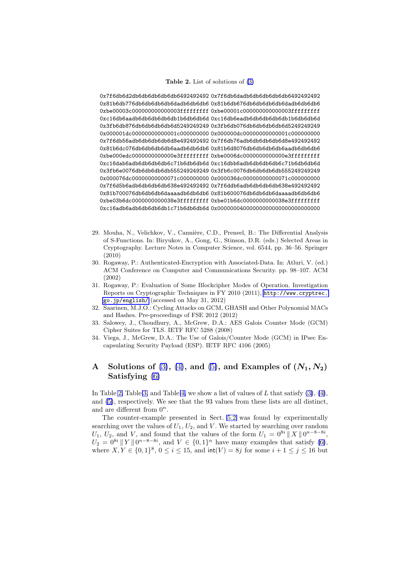<span id="page-17-0"></span>0x7f6db6d2db6db6db6db6db6492492492 0x7f6db6dadb6db6db6db6db6492492492 0x81b6db776db6db6db6db6dadb6db6db6 0x81b6db676db6db6db6db6dadb6db6db6 0xbe00003c000000000000003fffffffff 0xbe00001c000000000000003fffffffff 0xc16db6aadb6db6db6db6db1b6db6db6d 0xc16db6ead[b6](#page-7-0)db6db6db6db1b6db6db6d 0x3fb6db876db6db6db6db6d5249249249 0x3fb6db076db6db6db6db6d5249249249 0x000001dc00000000000001c000000000 0x000000dc00000000000001c000000000 0x7f6db56adb6db6db6db6d8e492492492 0x7f6db76adb6db6db6db6d8e492492492 0x81b6dc076db6db6db6db6aadb6db6db6 0x81b6d8076db6db6db6db6aadb6db6db6 0xbe000edc0000000000000e3fffffffff 0xbe0006dc0000000000000e3fffffffff 0xc16dab6adb6db6db6db6c71b6db6db6d 0xc16dbb6adb6db6db6db6c71b6db6db6d 0x3fb6e0076db6db6db6db555249249249 0x3fb6c0076db6db6db6db555249249249 0x000076dc00000000000071c000000000 0x000036dc00000000000071c000000000 0x7f6d5b6adb6db6db6db638e492492492 0x7f6ddb6adb6db6db6db638e492492492 0x81b700076db6db6db6daaaadb6db6db6 0x81b600076db6db6db6daaaadb6db6db6 0xbe03b6dc0000000000038e3fffffffff 0xbe01b6dc0000000000038e3fffffffff 0xc16adb6adb6db6db6db1c71b6db6db6d 0x00000004000000000000000000000000

- 29. Mouha, N., Velichkov, V., Cannière, C.D., Preneel, B.: The Differential Analysis of S-Functions. In: Biryukov, A., Gong, G., Stinson, D.R. (eds.) Selected Areas in Cryptography. Lecture Notes in Computer Science, vol. 6544, pp. 36–56. Springer (2010)
- 30. Rogaway, P.: Authenticated-Encryption with Associated-Data. In: Atluri, V. (ed.) ACM Conference on Computer and Communications Security. pp. 98–107. ACM (2002)
- 31. Rogaway, P.: Evaluation of Some Blockcipher Modes of Operation. Investigation Reports on Cryptographic Techniques in FY 2010 (2011), http://www.cryptrec. go.jp/english/ (accessed on May 31, 2012)
- 32. Saarinen, M.J.O.: Cycling Attacks on GCM, GHASH and Other Polynomial MACs and Hashes. Pre-proceedings of FSE 2012 (2012)
- 33. Salowey, J., Choudhury, A., McGrew, D.A.: AES Galois [Counter Mode \(GCM\)](http://www.cryptrec.go.jp/english/) Cipher Suites for TLS. IETF RFC 5288 (2008)
- 34. [Viega, J., McGre](http://www.cryptrec.go.jp/english/)w, D.A.: The Use of Galois/Counter Mode (GCM) in IPsec Encapsulating Security Payload (ESP). IETF RFC 4106 (2005)

## **A** Solutions of (3), (4), and (5), and Examples of  $(N_1, N_2)$ **Satisfying** (6)

In Table 2, Table 3, and Table 4, we show a list of values of *L* that satisfy (3), (4), and (5), respectively. [We](#page-7-0) se[e th](#page-7-0)at the 9[3 v](#page-7-0)alues from these lists are all distinct, and are different fro[m](#page-7-0) 0*<sup>n</sup>*.

The counter-example presented in Sect. 5.2 was found by experimentally searching over th[e v](#page-18-0)alues of  $U_1, U_2$  $U_1, U_2$  $U_1, U_2$ , and  $V$ . We started by searching over [ran](#page-7-0)d[om](#page-7-0)  $U_1, U_2$  $U_1, U_2$ , and *V*, and found that the values of the form  $U_1 = 0^{8i} \parallel X \parallel 0^{n-8-8i}$ ,  $U_2 = 0^{8i} || Y || 0^{n-8-8i}$ , and  $V \in \{0,1\}^n$  have many examples that satisfy (6), where  $X, Y \in \{0, 1\}^8, 0 \le i \le 15$ , and  $\text{int}(V) = 8j$  $\text{int}(V) = 8j$  $\text{int}(V) = 8j$  for some  $i + 1 \le j \le 16$  but